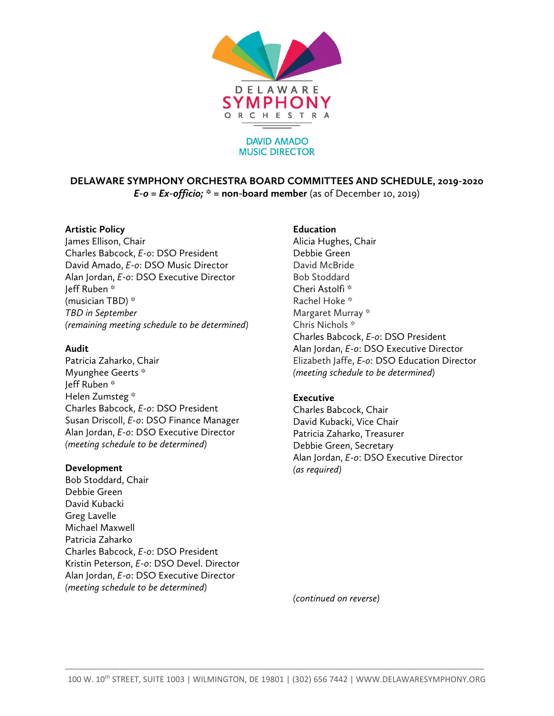

#### **DAVID AMADO MUSIC DIRECTOR**

**DELAWARE SYMPHONY ORCHESTRA BOARD COMMITTEES AND SCHEDULE, 2019-2020**  *E-o = Ex-officio;* **\* = non-board member** (as of December 10, 2019)

## **Artistic Policy**

James Ellison, Chair Charles Babcock, *E-o*: DSO President David Amado, *E-o*: DSO Music Director Alan Jordan, *E-o*: DSO Executive Director Jeff Ruben \* (musician TBD) \* *TBD in September (remaining meeting schedule to be determined)* 

# **Audit**

Patricia Zaharko, Chair Myunghee Geerts \* Jeff Ruben \* Helen Zumsteg \* Charles Babcock, *E-o*: DSO President Susan Driscoll, *E-o*: DSO Finance Manager Alan Jordan, *E-o*: DSO Executive Director *(meeting schedule to be determined)*

### **Development**

Bob Stoddard, Chair Debbie Green David Kubacki Greg Lavelle Michael Maxwell Patricia Zaharko Charles Babcock, *E-o*: DSO President Kristin Peterson, *E-o*: DSO Devel. Director Alan Jordan, *E-o*: DSO Executive Director *(meeting schedule to be determined)* 

# **Education**

Alicia Hughes, Chair Debbie Green David McBride Bob Stoddard Cheri Astolfi \* Rachel Hoke \* Margaret Murray \* Chris Nichols \* Charles Babcock, *E-o*: DSO President Alan Jordan, *E-o*: DSO Executive Director Elizabeth Jaffe, *E-o*: DSO Education Director *(meeting schedule to be determined)*

# **Executive**

Charles Babcock, Chair David Kubacki, Vice Chair Patricia Zaharko, Treasurer Debbie Green, Secretary Alan Jordan, *E-o*: DSO Executive Director *(as required)*

*(continued on reverse)*